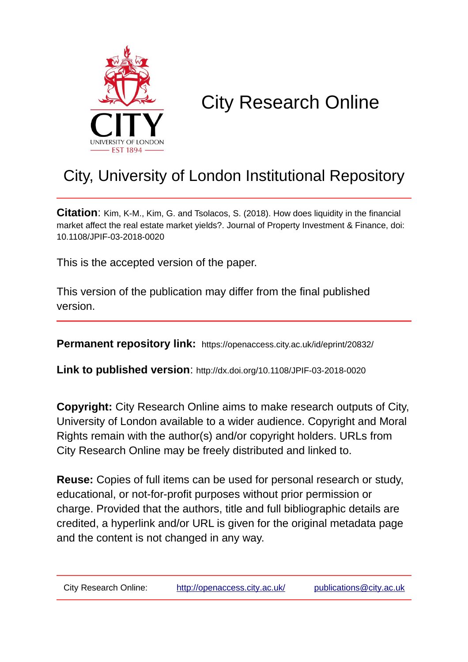

# City Research Online

# City, University of London Institutional Repository

**Citation**: Kim, K-M., Kim, G. and Tsolacos, S. (2018). How does liquidity in the financial market affect the real estate market yields?. Journal of Property Investment & Finance, doi: 10.1108/JPIF-03-2018-0020

This is the accepted version of the paper.

This version of the publication may differ from the final published version.

**Permanent repository link:** https://openaccess.city.ac.uk/id/eprint/20832/

**Link to published version**: http://dx.doi.org/10.1108/JPIF-03-2018-0020

**Copyright:** City Research Online aims to make research outputs of City, University of London available to a wider audience. Copyright and Moral Rights remain with the author(s) and/or copyright holders. URLs from City Research Online may be freely distributed and linked to.

**Reuse:** Copies of full items can be used for personal research or study, educational, or not-for-profit purposes without prior permission or charge. Provided that the authors, title and full bibliographic details are credited, a hyperlink and/or URL is given for the original metadata page and the content is not changed in any way.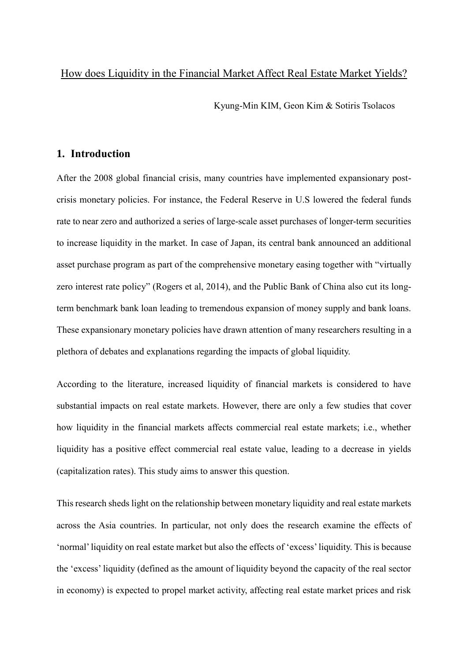#### How does Liquidity in the Financial Market Affect Real Estate Market Yields?

Kyung-Min KIM, Geon Kim & Sotiris Tsolacos

## **1. Introduction**

After the 2008 global financial crisis, many countries have implemented expansionary postcrisis monetary policies. For instance, the Federal Reserve in U.S lowered the federal funds rate to near zero and authorized a series of large-scale asset purchases of longer-term securities to increase liquidity in the market. In case of Japan, its central bank announced an additional asset purchase program as part of the comprehensive monetary easing together with "virtually zero interest rate policy" (Rogers et al, 2014), and the Public Bank of China also cut its longterm benchmark bank loan leading to tremendous expansion of money supply and bank loans. These expansionary monetary policies have drawn attention of many researchers resulting in a plethora of debates and explanations regarding the impacts of global liquidity.

According to the literature, increased liquidity of financial markets is considered to have substantial impacts on real estate markets. However, there are only a few studies that cover how liquidity in the financial markets affects commercial real estate markets; i.e., whether liquidity has a positive effect commercial real estate value, leading to a decrease in yields (capitalization rates). This study aims to answer this question.

This research sheds light on the relationship between monetary liquidity and real estate markets across the Asia countries. In particular, not only does the research examine the effects of 'normal' liquidity on real estate market but also the effects of 'excess' liquidity. This is because the 'excess' liquidity (defined as the amount of liquidity beyond the capacity of the real sector in economy) is expected to propel market activity, affecting real estate market prices and risk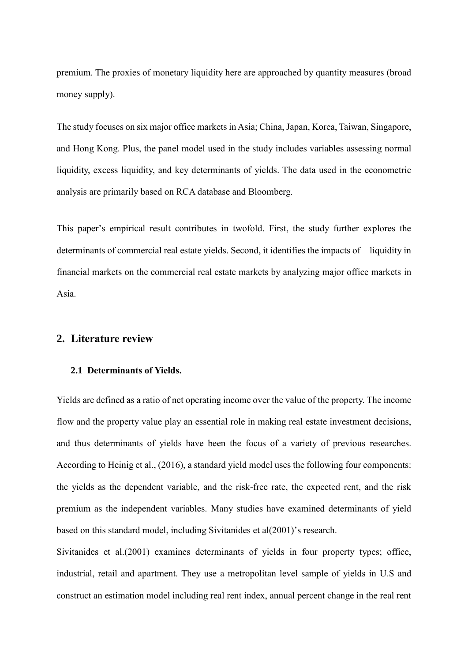premium. The proxies of monetary liquidity here are approached by quantity measures (broad money supply).

The study focuses on six major office markets in Asia; China, Japan, Korea, Taiwan, Singapore, and Hong Kong. Plus, the panel model used in the study includes variables assessing normal liquidity, excess liquidity, and key determinants of yields. The data used in the econometric analysis are primarily based on RCA database and Bloomberg.

This paper's empirical result contributes in twofold. First, the study further explores the determinants of commercial real estate yields. Second, it identifies the impacts of liquidity in financial markets on the commercial real estate markets by analyzing major office markets in Asia.

#### **2. Literature review**

#### **2.1 Determinants of Yields.**

Yields are defined as a ratio of net operating income over the value of the property. The income flow and the property value play an essential role in making real estate investment decisions, and thus determinants of yields have been the focus of a variety of previous researches. According to Heinig et al., (2016), a standard yield model uses the following four components: the yields as the dependent variable, and the risk-free rate, the expected rent, and the risk premium as the independent variables. Many studies have examined determinants of yield based on this standard model, including Sivitanides et al(2001)'s research.

Sivitanides et al.(2001) examines determinants of yields in four property types; office, industrial, retail and apartment. They use a metropolitan level sample of yields in U.S and construct an estimation model including real rent index, annual percent change in the real rent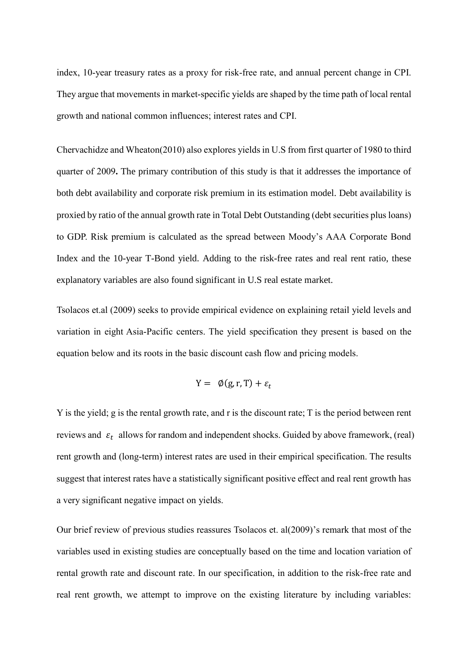index, 10-year treasury rates as a proxy for risk-free rate, and annual percent change in CPI. They argue that movements in market-specific yields are shaped by the time path of local rental growth and national common influences; interest rates and CPI.

Chervachidze and Wheaton(2010) also explores yields in U.S from first quarter of 1980 to third quarter of 2009**.** The primary contribution of this study is that it addresses the importance of both debt availability and corporate risk premium in its estimation model. Debt availability is proxied by ratio of the annual growth rate in Total Debt Outstanding (debt securities plus loans) to GDP. Risk premium is calculated as the spread between Moody's AAA Corporate Bond Index and the 10-year T-Bond yield. Adding to the risk-free rates and real rent ratio, these explanatory variables are also found significant in U.S real estate market.

Tsolacos et.al (2009) seeks to provide empirical evidence on explaining retail yield levels and variation in eight Asia-Pacific centers. The yield specification they present is based on the equation below and its roots in the basic discount cash flow and pricing models.

$$
Y = \emptyset(g, r, T) + \varepsilon_t
$$

Y is the yield; g is the rental growth rate, and r is the discount rate; T is the period between rent reviews and  $\varepsilon_t$  allows for random and independent shocks. Guided by above framework, (real) rent growth and (long-term) interest rates are used in their empirical specification. The results suggest that interest rates have a statistically significant positive effect and real rent growth has a very significant negative impact on yields.

Our brief review of previous studies reassures Tsolacos et. al(2009)'s remark that most of the variables used in existing studies are conceptually based on the time and location variation of rental growth rate and discount rate. In our specification, in addition to the risk-free rate and real rent growth, we attempt to improve on the existing literature by including variables: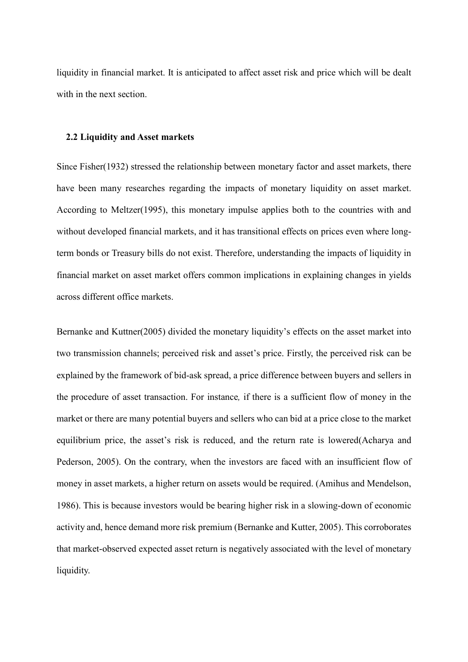liquidity in financial market. It is anticipated to affect asset risk and price which will be dealt with in the next section.

#### **2.2 Liquidity and Asset markets**

Since Fisher(1932) stressed the relationship between monetary factor and asset markets, there have been many researches regarding the impacts of monetary liquidity on asset market. According to Meltzer(1995), this monetary impulse applies both to the countries with and without developed financial markets, and it has transitional effects on prices even where longterm bonds or Treasury bills do not exist. Therefore, understanding the impacts of liquidity in financial market on asset market offers common implications in explaining changes in yields across different office markets.

Bernanke and Kuttner(2005) divided the monetary liquidity's effects on the asset market into two transmission channels; perceived risk and asset's price. Firstly, the perceived risk can be explained by the framework of bid-ask spread, a price difference between buyers and sellers in the procedure of asset transaction. For instance*,* if there is a sufficient flow of money in the market or there are many potential buyers and sellers who can bid at a price close to the market equilibrium price, the asset's risk is reduced, and the return rate is lowered(Acharya and Pederson, 2005). On the contrary, when the investors are faced with an insufficient flow of money in asset markets, a higher return on assets would be required. (Amihus and Mendelson, 1986). This is because investors would be bearing higher risk in a slowing-down of economic activity and, hence demand more risk premium (Bernanke and Kutter, 2005). This corroborates that market-observed expected asset return is negatively associated with the level of monetary liquidity.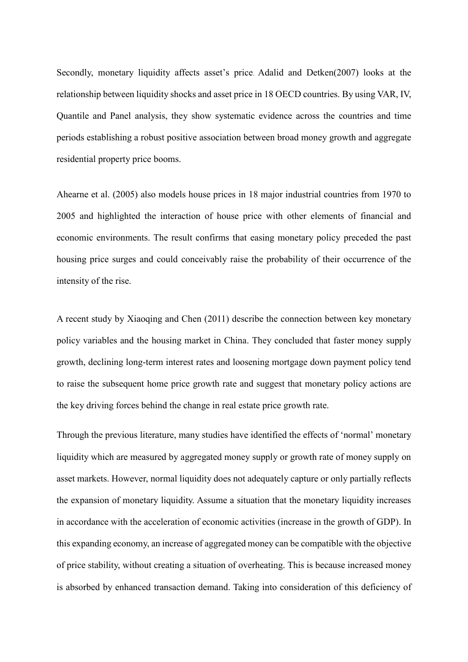Secondly, monetary liquidity affects asset's price. Adalid and Detken(2007) looks at the relationship between liquidity shocks and asset price in 18 OECD countries. By using VAR, IV, Quantile and Panel analysis, they show systematic evidence across the countries and time periods establishing a robust positive association between broad money growth and aggregate residential property price booms.

Ahearne et al. (2005) also models house prices in 18 major industrial countries from 1970 to 2005 and highlighted the interaction of house price with other elements of financial and economic environments. The result confirms that easing monetary policy preceded the past housing price surges and could conceivably raise the probability of their occurrence of the intensity of the rise.

A recent study by Xiaoqing and Chen (2011) describe the connection between key monetary policy variables and the housing market in China. They concluded that faster money supply growth, declining long-term interest rates and loosening mortgage down payment policy tend to raise the subsequent home price growth rate and suggest that monetary policy actions are the key driving forces behind the change in real estate price growth rate.

Through the previous literature, many studies have identified the effects of 'normal' monetary liquidity which are measured by aggregated money supply or growth rate of money supply on asset markets. However, normal liquidity does not adequately capture or only partially reflects the expansion of monetary liquidity. Assume a situation that the monetary liquidity increases in accordance with the acceleration of economic activities (increase in the growth of GDP). In this expanding economy, an increase of aggregated money can be compatible with the objective of price stability, without creating a situation of overheating. This is because increased money is absorbed by enhanced transaction demand. Taking into consideration of this deficiency of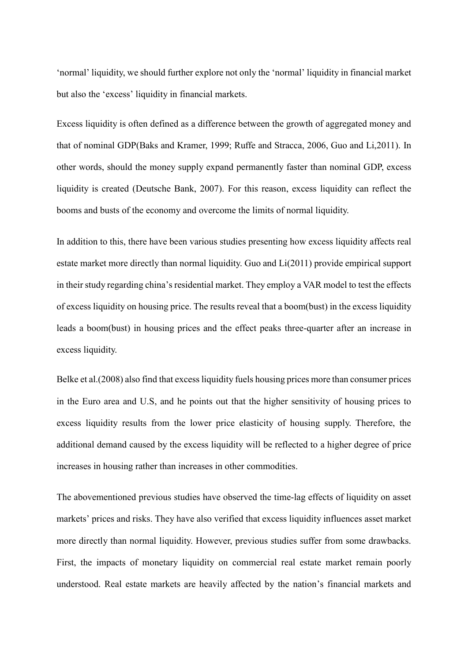'normal' liquidity, we should further explore not only the 'normal' liquidity in financial market but also the 'excess' liquidity in financial markets.

Excess liquidity is often defined as a difference between the growth of aggregated money and that of nominal GDP(Baks and Kramer, 1999; Ruffe and Stracca, 2006, Guo and Li,2011). In other words, should the money supply expand permanently faster than nominal GDP, excess liquidity is created (Deutsche Bank, 2007). For this reason, excess liquidity can reflect the booms and busts of the economy and overcome the limits of normal liquidity.

In addition to this, there have been various studies presenting how excess liquidity affects real estate market more directly than normal liquidity. Guo and Li(2011) provide empirical support in their study regarding china's residential market. They employ a VAR model to test the effects of excess liquidity on housing price. The results reveal that a boom(bust) in the excess liquidity leads a boom(bust) in housing prices and the effect peaks three-quarter after an increase in excess liquidity.

Belke et al.(2008) also find that excess liquidity fuels housing prices more than consumer prices in the Euro area and U.S, and he points out that the higher sensitivity of housing prices to excess liquidity results from the lower price elasticity of housing supply. Therefore, the additional demand caused by the excess liquidity will be reflected to a higher degree of price increases in housing rather than increases in other commodities.

The abovementioned previous studies have observed the time-lag effects of liquidity on asset markets' prices and risks. They have also verified that excess liquidity influences asset market more directly than normal liquidity. However, previous studies suffer from some drawbacks. First, the impacts of monetary liquidity on commercial real estate market remain poorly understood. Real estate markets are heavily affected by the nation's financial markets and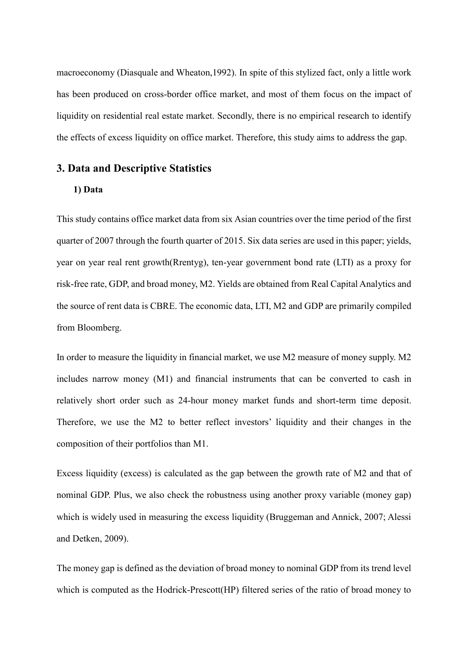macroeconomy (Diasquale and Wheaton,1992). In spite of this stylized fact, only a little work has been produced on cross-border office market, and most of them focus on the impact of liquidity on residential real estate market. Secondly, there is no empirical research to identify the effects of excess liquidity on office market. Therefore, this study aims to address the gap.

#### **3. Data and Descriptive Statistics**

### **1) Data**

This study contains office market data from six Asian countries over the time period of the first quarter of 2007 through the fourth quarter of 2015. Six data series are used in this paper; yields, year on year real rent growth(Rrentyg), ten-year government bond rate (LTI) as a proxy for risk-free rate, GDP, and broad money, M2. Yields are obtained from Real Capital Analytics and the source of rent data is CBRE. The economic data, LTI, M2 and GDP are primarily compiled from Bloomberg.

In order to measure the liquidity in financial market, we use M2 measure of money supply. M2 includes narrow money (M1) and financial instruments that can be converted to cash in relatively short order such as 24-hour money market funds and short-term time deposit. Therefore, we use the M2 to better reflect investors' liquidity and their changes in the composition of their portfolios than M1.

Excess liquidity (excess) is calculated as the gap between the growth rate of M2 and that of nominal GDP. Plus, we also check the robustness using another proxy variable (money gap) which is widely used in measuring the excess liquidity (Bruggeman and Annick, 2007; Alessi and Detken, 2009).

The money gap is defined as the deviation of broad money to nominal GDP from its trend level which is computed as the Hodrick-Prescott(HP) filtered series of the ratio of broad money to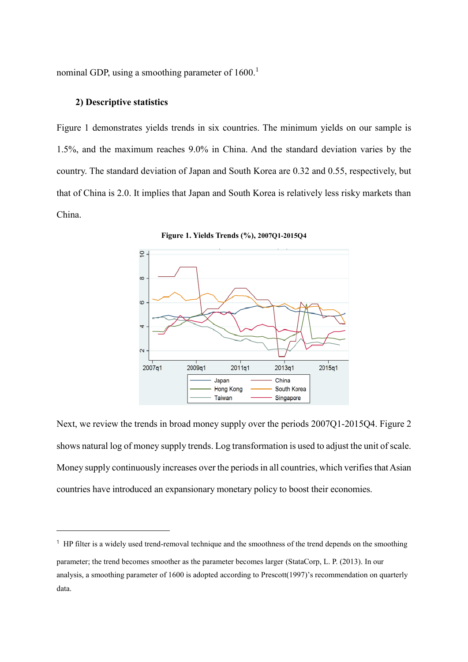nominal GDP, using a smoothing parameter of 1600.<sup>1</sup>

#### **2) Descriptive statistics**

-

Figure 1 demonstrates yields trends in six countries. The minimum yields on our sample is 1.5%, and the maximum reaches 9.0% in China. And the standard deviation varies by the country. The standard deviation of Japan and South Korea are 0.32 and 0.55, respectively, but that of China is 2.0. It implies that Japan and South Korea is relatively less risky markets than China.



**Figure 1. Yields Trends (%), 2007Q1-2015Q4**

Next, we review the trends in broad money supply over the periods 2007Q1-2015Q4. Figure 2 shows natural log of money supply trends. Log transformation is used to adjust the unit of scale. Money supply continuously increases over the periods in all countries, which verifies that Asian countries have introduced an expansionary monetary policy to boost their economies.

<sup>&</sup>lt;sup>1</sup> HP filter is a widely used trend-removal technique and the smoothness of the trend depends on the smoothing parameter; the trend becomes smoother as the parameter becomes larger (StataCorp, L. P. (2013). In our analysis, a smoothing parameter of 1600 is adopted according to Prescott(1997)'s recommendation on quarterly data.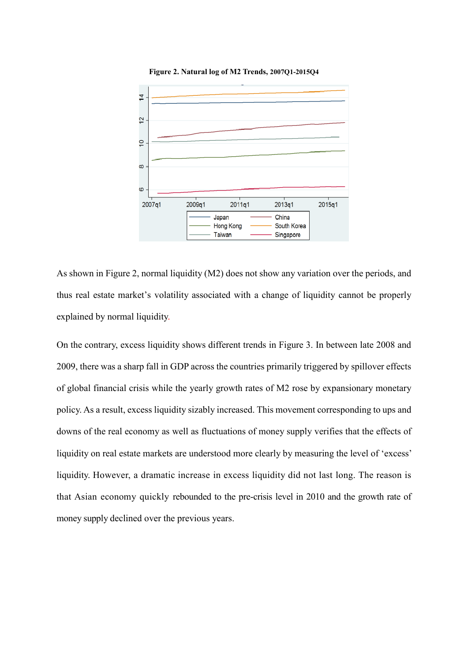

**Figure 2. Natural log of M2 Trends, 2007Q1-2015Q4**

As shown in Figure 2, normal liquidity (M2) does not show any variation over the periods, and thus real estate market's volatility associated with a change of liquidity cannot be properly explained by normal liquidity.

On the contrary, excess liquidity shows different trends in Figure 3. In between late 2008 and 2009, there was a sharp fall in GDP across the countries primarily triggered by spillover effects of global financial crisis while the yearly growth rates of M2 rose by expansionary monetary policy. As a result, excess liquidity sizably increased. This movement corresponding to ups and downs of the real economy as well as fluctuations of money supply verifies that the effects of liquidity on real estate markets are understood more clearly by measuring the level of 'excess' liquidity. However, a dramatic increase in excess liquidity did not last long. The reason is that Asian economy quickly rebounded to the pre-crisis level in 2010 and the growth rate of money supply declined over the previous years.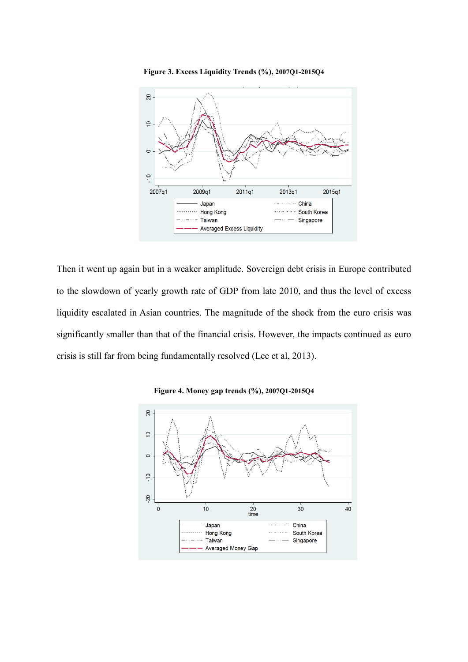

Then it went up again but in a weaker amplitude. Sovereign debt crisis in Europe contributed to the slowdown of yearly growth rate of GDP from late 2010, and thus the level of excess liquidity escalated in Asian countries. The magnitude of the shock from the euro crisis was significantly smaller than that of the financial crisis. However, the impacts continued as euro crisis is still far from being fundamentally resolved (Lee et al, 2013).



**Figure 4. Money gap trends (%), 2007Q1-2015Q4**

**Figure 3. Excess Liquidity Trends (%), 2007Q1-2015Q4**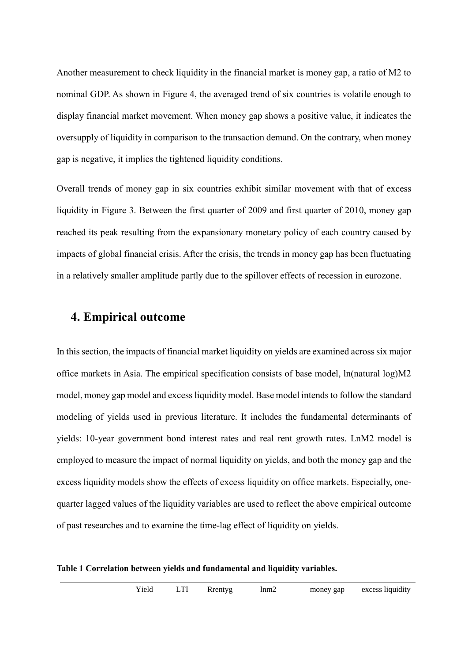Another measurement to check liquidity in the financial market is money gap, a ratio of M2 to nominal GDP. As shown in Figure 4, the averaged trend of six countries is volatile enough to display financial market movement. When money gap shows a positive value, it indicates the oversupply of liquidity in comparison to the transaction demand. On the contrary, when money gap is negative, it implies the tightened liquidity conditions.

Overall trends of money gap in six countries exhibit similar movement with that of excess liquidity in Figure 3. Between the first quarter of 2009 and first quarter of 2010, money gap reached its peak resulting from the expansionary monetary policy of each country caused by impacts of global financial crisis. After the crisis, the trends in money gap has been fluctuating in a relatively smaller amplitude partly due to the spillover effects of recession in eurozone.

# **4. Empirical outcome**

In this section, the impacts of financial market liquidity on yields are examined across six major office markets in Asia. The empirical specification consists of base model, ln(natural log)M2 model, money gap model and excess liquidity model. Base model intends to follow the standard modeling of yields used in previous literature. It includes the fundamental determinants of yields: 10-year government bond interest rates and real rent growth rates. LnM2 model is employed to measure the impact of normal liquidity on yields, and both the money gap and the excess liquidity models show the effects of excess liquidity on office markets. Especially, onequarter lagged values of the liquidity variables are used to reflect the above empirical outcome of past researches and to examine the time-lag effect of liquidity on yields.

**Table 1 Correlation between yields and fundamental and liquidity variables.**

|  | Yield | LTI | Rrentyg | lnm2 | money gap | excess liquidity |
|--|-------|-----|---------|------|-----------|------------------|
|--|-------|-----|---------|------|-----------|------------------|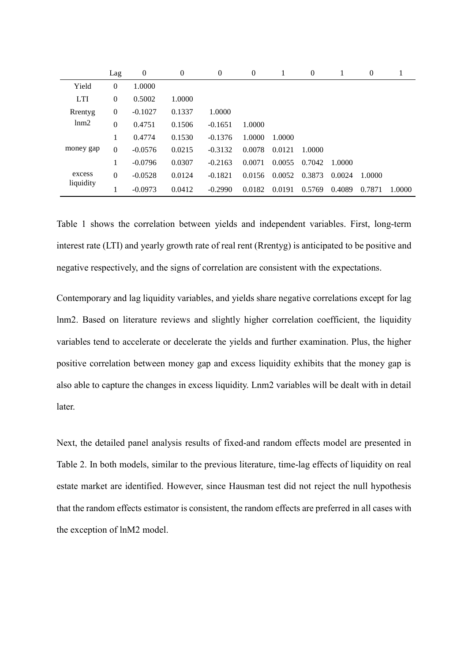|                     | Lag              | $\mathbf{0}$ | $\overline{0}$ | $\overline{0}$ | $\theta$ |        | $\theta$ |        | $\theta$ | 1      |
|---------------------|------------------|--------------|----------------|----------------|----------|--------|----------|--------|----------|--------|
| Yield               | $\mathbf{0}$     | 1.0000       |                |                |          |        |          |        |          |        |
| <b>LTI</b>          | $\mathbf{0}$     | 0.5002       | 1.0000         |                |          |        |          |        |          |        |
| Rrentyg             | $\boldsymbol{0}$ | $-0.1027$    | 0.1337         | 1.0000         |          |        |          |        |          |        |
| lnm2                | $\mathbf{0}$     | 0.4751       | 0.1506         | $-0.1651$      | 1.0000   |        |          |        |          |        |
| money gap           | 1                | 0.4774       | 0.1530         | $-0.1376$      | 1.0000   | 1.0000 |          |        |          |        |
|                     | $\mathbf{0}$     | $-0.0576$    | 0.0215         | $-0.3132$      | 0.0078   | 0.0121 | 1.0000   |        |          |        |
|                     |                  | $-0.0796$    | 0.0307         | $-0.2163$      | 0.0071   | 0.0055 | 0.7042   | 1.0000 |          |        |
| excess<br>liquidity | $\mathbf{0}$     | $-0.0528$    | 0.0124         | $-0.1821$      | 0.0156   | 0.0052 | 0.3873   | 0.0024 | 1.0000   |        |
|                     |                  | $-0.0973$    | 0.0412         | $-0.2990$      | 0.0182   | 0.0191 | 0.5769   | 0.4089 | 0.7871   | 1.0000 |

Table 1 shows the correlation between yields and independent variables. First, long-term interest rate (LTI) and yearly growth rate of real rent (Rrentyg) is anticipated to be positive and negative respectively, and the signs of correlation are consistent with the expectations.

Contemporary and lag liquidity variables, and yields share negative correlations except for lag lnm2. Based on literature reviews and slightly higher correlation coefficient, the liquidity variables tend to accelerate or decelerate the yields and further examination. Plus, the higher positive correlation between money gap and excess liquidity exhibits that the money gap is also able to capture the changes in excess liquidity. Lnm2 variables will be dealt with in detail later.

Next, the detailed panel analysis results of fixed-and random effects model are presented in Table 2. In both models, similar to the previous literature, time-lag effects of liquidity on real estate market are identified. However, since Hausman test did not reject the null hypothesis that the random effects estimator is consistent, the random effects are preferred in all cases with the exception of lnM2 model.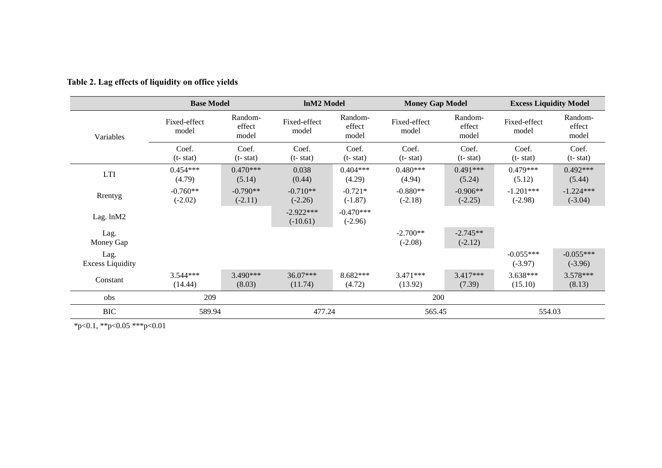|                                 | <b>Base Model</b>       | <b>InM2</b> Model          |                           | <b>Money Gap Model</b>     |                         | <b>Excess Liquidity Model</b> |                          |                            |
|---------------------------------|-------------------------|----------------------------|---------------------------|----------------------------|-------------------------|-------------------------------|--------------------------|----------------------------|
| Variables                       | Fixed-effect<br>model   | Random-<br>effect<br>model | Fixed-effect<br>model     | Random-<br>effect<br>model | Fixed-effect<br>model   | Random-<br>effect<br>model    | Fixed-effect<br>model    | Random-<br>effect<br>model |
|                                 | Coef.<br>$(t - stat)$   | Coef.<br>$(t - stat)$      | Coef.<br>$(t - stat)$     | Coef.<br>$(t - stat)$      | Coef.<br>$(t - stat)$   | Coef.<br>$(t - stat)$         | Coef.<br>$(t - stat)$    | Coef.<br>$(t - stat)$      |
| <b>LTI</b>                      | $0.454***$<br>(4.79)    | $0.470***$<br>(5.14)       | 0.038<br>(0.44)           | $0.404***$<br>(4.29)       | $0.480***$<br>(4.94)    | $0.491***$<br>(5.24)          | $0.479***$<br>(5.12)     | $0.492***$<br>(5.44)       |
| Rrentyg                         | $-0.760**$<br>$(-2.02)$ | $-0.790**$<br>$(-2.11)$    | $-0.710**$<br>$(-2.26)$   | $-0.721*$<br>$(-1.87)$     | $-0.880**$<br>$(-2.18)$ | $-0.906**$<br>$(-2.25)$       | $-1.201***$<br>$(-2.98)$ | $-1.224***$<br>$(-3.04)$   |
| Lag. lnM2                       |                         |                            | $-2.922***$<br>$(-10.61)$ | $-0.470***$<br>$(-2.96)$   |                         |                               |                          |                            |
| Lag.<br>Money Gap               |                         |                            |                           |                            | $-2.700**$<br>$(-2.08)$ | $-2.745**$<br>$(-2.12)$       |                          |                            |
| Lag.<br><b>Excess Liquidity</b> |                         |                            |                           |                            |                         |                               | $-0.055***$<br>$(-3.97)$ | $-0.055***$<br>$(-3.96)$   |
| Constant                        | $3.544***$<br>(14.44)   | $3.490***$<br>(8.03)       | $36.07***$<br>(11.74)     | 8.682***<br>(4.72)         | $3.471***$<br>(13.92)   | $3.417***$<br>(7.39)          | $3.638***$<br>(15.10)    | 3.578***<br>(8.13)         |
| obs                             | 209                     |                            |                           |                            | 200                     |                               |                          |                            |
| <b>BIC</b>                      | 589.94                  |                            | 477.24                    |                            | 565.45                  |                               | 554.03                   |                            |

**Table 2. Lag effects of liquidity on office yields**

\*p<0.1, \*\*p<0.05 \*\*\*p<0.01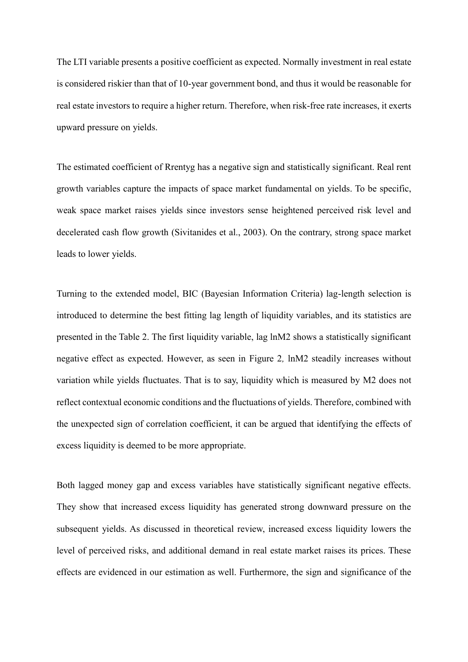The LTI variable presents a positive coefficient as expected. Normally investment in real estate is considered riskier than that of 10-year government bond, and thus it would be reasonable for real estate investors to require a higher return. Therefore, when risk-free rate increases, it exerts upward pressure on yields.

The estimated coefficient of Rrentyg has a negative sign and statistically significant. Real rent growth variables capture the impacts of space market fundamental on yields. To be specific, weak space market raises yields since investors sense heightened perceived risk level and decelerated cash flow growth (Sivitanides et al., 2003). On the contrary, strong space market leads to lower yields.

Turning to the extended model, BIC (Bayesian Information Criteria) lag-length selection is introduced to determine the best fitting lag length of liquidity variables, and its statistics are presented in the Table 2. The first liquidity variable, lag lnM2 shows a statistically significant negative effect as expected. However, as seen in Figure 2*,* lnM2 steadily increases without variation while yields fluctuates. That is to say, liquidity which is measured by M2 does not reflect contextual economic conditions and the fluctuations of yields. Therefore, combined with the unexpected sign of correlation coefficient, it can be argued that identifying the effects of excess liquidity is deemed to be more appropriate.

Both lagged money gap and excess variables have statistically significant negative effects. They show that increased excess liquidity has generated strong downward pressure on the subsequent yields. As discussed in theoretical review, increased excess liquidity lowers the level of perceived risks, and additional demand in real estate market raises its prices. These effects are evidenced in our estimation as well. Furthermore, the sign and significance of the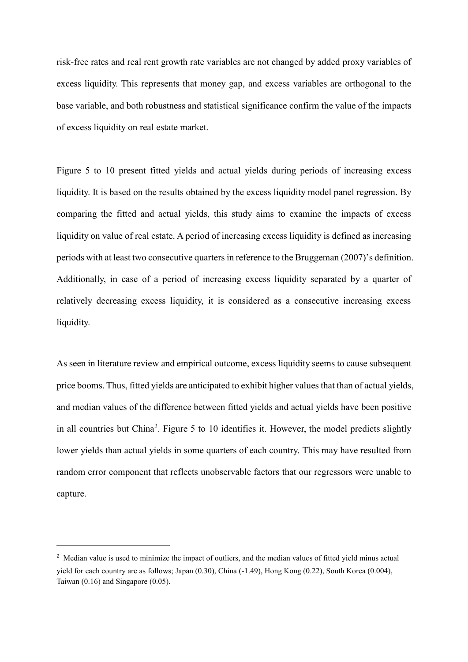risk-free rates and real rent growth rate variables are not changed by added proxy variables of excess liquidity. This represents that money gap, and excess variables are orthogonal to the base variable, and both robustness and statistical significance confirm the value of the impacts of excess liquidity on real estate market.

Figure 5 to 10 present fitted yields and actual yields during periods of increasing excess liquidity. It is based on the results obtained by the excess liquidity model panel regression. By comparing the fitted and actual yields, this study aims to examine the impacts of excess liquidity on value of real estate. A period of increasing excess liquidity is defined as increasing periods with at least two consecutive quarters in reference to the Bruggeman (2007)'s definition. Additionally, in case of a period of increasing excess liquidity separated by a quarter of relatively decreasing excess liquidity, it is considered as a consecutive increasing excess liquidity.

As seen in literature review and empirical outcome, excess liquidity seems to cause subsequent price booms. Thus, fitted yields are anticipated to exhibit higher values that than of actual yields, and median values of the difference between fitted yields and actual yields have been positive in all countries but China<sup>2</sup>. Figure 5 to 10 identifies it. However, the model predicts slightly lower yields than actual yields in some quarters of each country. This may have resulted from random error component that reflects unobservable factors that our regressors were unable to capture.

-

<sup>&</sup>lt;sup>2</sup> Median value is used to minimize the impact of outliers, and the median values of fitted yield minus actual yield for each country are as follows; Japan (0.30), China (-1.49), Hong Kong (0.22), South Korea (0.004), Taiwan (0.16) and Singapore (0.05).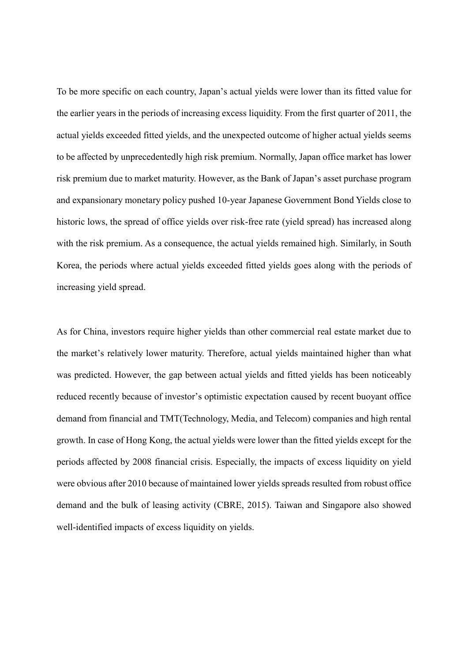To be more specific on each country, Japan's actual yields were lower than its fitted value for the earlier years in the periods of increasing excess liquidity. From the first quarter of 2011, the actual yields exceeded fitted yields, and the unexpected outcome of higher actual yields seems to be affected by unprecedentedly high risk premium. Normally, Japan office market has lower risk premium due to market maturity. However, as the Bank of Japan's asset purchase program and expansionary monetary policy pushed 10-year Japanese Government Bond Yields close to historic lows, the spread of office yields over risk-free rate (yield spread) has increased along with the risk premium. As a consequence, the actual yields remained high. Similarly, in South Korea, the periods where actual yields exceeded fitted yields goes along with the periods of increasing yield spread.

As for China, investors require higher yields than other commercial real estate market due to the market's relatively lower maturity. Therefore, actual yields maintained higher than what was predicted. However, the gap between actual yields and fitted yields has been noticeably reduced recently because of investor's optimistic expectation caused by recent buoyant office demand from financial and TMT(Technology, Media, and Telecom) companies and high rental growth. In case of Hong Kong, the actual yields were lower than the fitted yields except for the periods affected by 2008 financial crisis. Especially, the impacts of excess liquidity on yield were obvious after 2010 because of maintained lower yields spreads resulted from robust office demand and the bulk of leasing activity (CBRE, 2015). Taiwan and Singapore also showed well-identified impacts of excess liquidity on yields.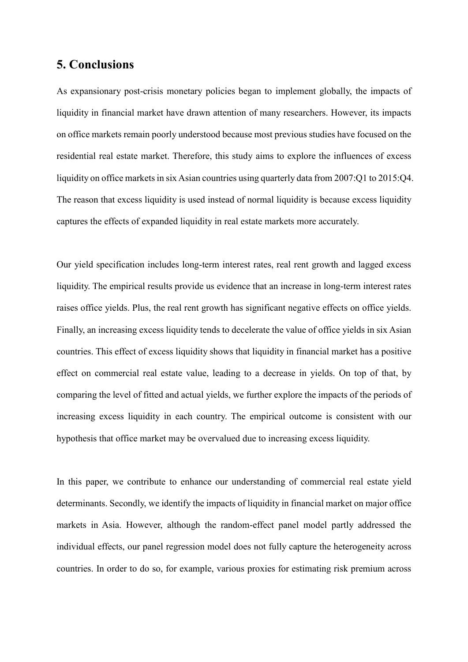# **5. Conclusions**

As expansionary post-crisis monetary policies began to implement globally, the impacts of liquidity in financial market have drawn attention of many researchers. However, its impacts on office markets remain poorly understood because most previous studies have focused on the residential real estate market. Therefore, this study aims to explore the influences of excess liquidity on office markets in six Asian countries using quarterly data from 2007:Q1 to 2015:Q4. The reason that excess liquidity is used instead of normal liquidity is because excess liquidity captures the effects of expanded liquidity in real estate markets more accurately.

Our yield specification includes long-term interest rates, real rent growth and lagged excess liquidity. The empirical results provide us evidence that an increase in long-term interest rates raises office yields. Plus, the real rent growth has significant negative effects on office yields. Finally, an increasing excess liquidity tends to decelerate the value of office yields in six Asian countries. This effect of excess liquidity shows that liquidity in financial market has a positive effect on commercial real estate value, leading to a decrease in yields. On top of that, by comparing the level of fitted and actual yields, we further explore the impacts of the periods of increasing excess liquidity in each country. The empirical outcome is consistent with our hypothesis that office market may be overvalued due to increasing excess liquidity.

In this paper, we contribute to enhance our understanding of commercial real estate yield determinants. Secondly, we identify the impacts of liquidity in financial market on major office markets in Asia. However, although the random-effect panel model partly addressed the individual effects, our panel regression model does not fully capture the heterogeneity across countries. In order to do so, for example, various proxies for estimating risk premium across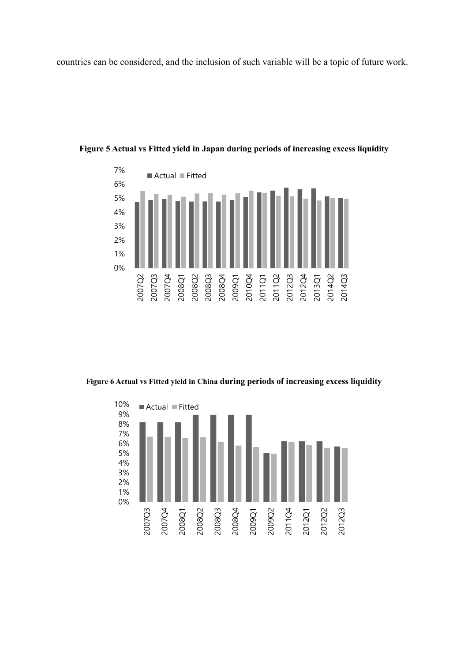countries can be considered, and the inclusion of such variable will be a topic of future work.



**Figure 5 Actual vs Fitted yield in Japan during periods of increasing excess liquidity**

**Figure 6 Actual vs Fitted yield in China during periods of increasing excess liquidity**

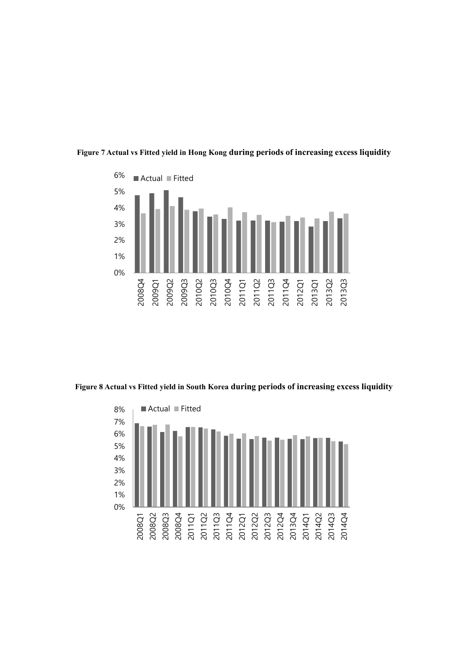

**Figure 7 Actual vs Fitted yield in Hong Kong during periods of increasing excess liquidity**

**Figure 8 Actual vs Fitted yield in South Korea during periods of increasing excess liquidity**